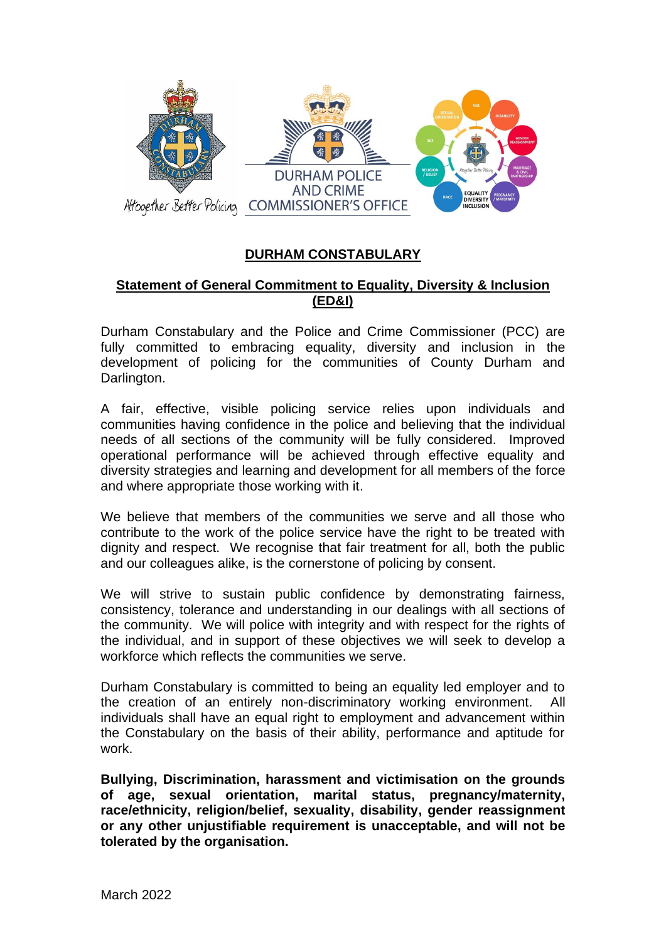

## **DURHAM CONSTABULARY**

## **Statement of General Commitment to Equality, Diversity & Inclusion (ED&I)**

Durham Constabulary and the Police and Crime Commissioner (PCC) are fully committed to embracing equality, diversity and inclusion in the development of policing for the communities of County Durham and Darlington.

A fair, effective, visible policing service relies upon individuals and communities having confidence in the police and believing that the individual needs of all sections of the community will be fully considered. Improved operational performance will be achieved through effective equality and diversity strategies and learning and development for all members of the force and where appropriate those working with it.

We believe that members of the communities we serve and all those who contribute to the work of the police service have the right to be treated with dignity and respect. We recognise that fair treatment for all, both the public and our colleagues alike, is the cornerstone of policing by consent.

We will strive to sustain public confidence by demonstrating fairness, consistency, tolerance and understanding in our dealings with all sections of the community. We will police with integrity and with respect for the rights of the individual, and in support of these objectives we will seek to develop a workforce which reflects the communities we serve.

Durham Constabulary is committed to being an equality led employer and to the creation of an entirely non-discriminatory working environment. All individuals shall have an equal right to employment and advancement within the Constabulary on the basis of their ability, performance and aptitude for work.

**Bullying, Discrimination, harassment and victimisation on the grounds of age, sexual orientation, marital status, pregnancy/maternity, race/ethnicity, religion/belief, sexuality, disability, gender reassignment or any other unjustifiable requirement is unacceptable, and will not be tolerated by the organisation.**